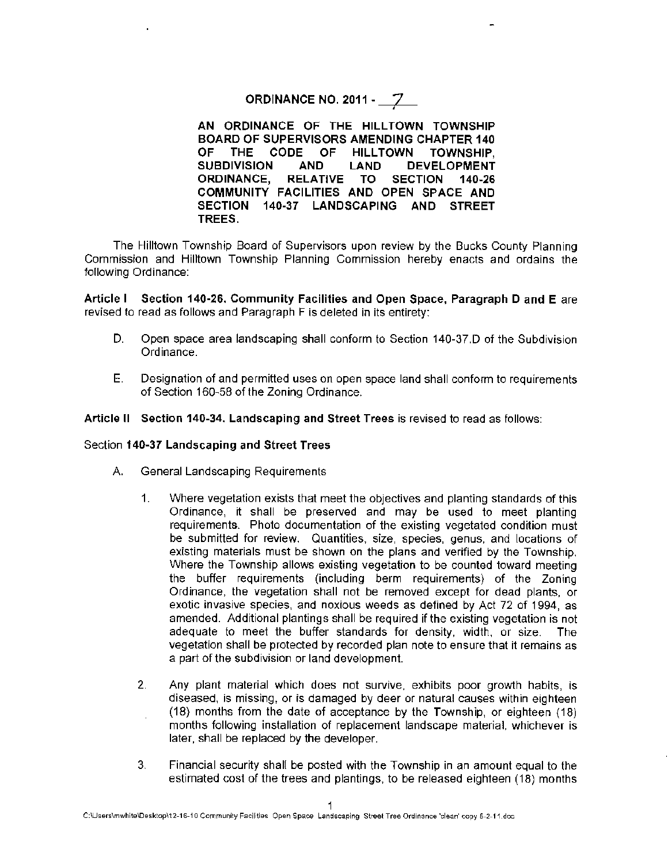## **ORDINANCE NO. 2011 - 7**

**AN ORDINANCE OF THE HILLTOWN TOWNSHIP BOARD OF SUPERVISORS AMENDING CHAPTER 140**  OF THE CODE OF HILLTOWN TOWNSHIP. **SUBDIVISION AND LAND DEVELOPMENT ORDINANCE, RELATIVE TO SECTION 140-26 COMMUNITY FACILITIES AND OPEN SPACE AND SECTION 140-37 LANDSCAPING AND STREET TREES.** 

The Hilltown Township Board of Supervisors upon review by the Bucks County Planning Commission and Hilltown Township Planning Commission hereby enacts and ordains the following Ordinance:

**Article** I **Section 140-26. Community Facilities and Open Space, Paragraph D and E** are revised to read as follows and Paragraph F is deleted in its entirety:

- D. Open space area landscaping shall conform to Section 140-37.D of the Subdivision Ordinance.
- E. Designation of and permitted uses on open space land shall conform to requirements of Section 160-58 of the Zoning Ordinance.

#### **Article** II **Section 140-34. Landscaping and Street Trees** is revised to read as follows:

#### Section **140-37 Landscaping and Street Trees**

- A. General Landscaping Requirements
	- 1. Where vegetation exists that meet the objectives and planting standards of this Ordinance, it shall be preserved and may be used to meet planting requirements. Photo documentation of the existing vegetated condition must be submitted for review. Quantities, size, species, genus, and locations of existing materials must be shown on the plans and verified by the Township. Where the Township allows existing vegetation to be counted toward meeting the buffer requirements (including berm requirements} of the Zoning Ordinance, the vegetation shall not be removed except for dead plants, or exotic invasive species, and noxious weeds as defined by Act 72 of 1994, as amended. Additional plantings shall be required if the existing vegetation is not adequate to meet the buffer standards for density, width, or size. The vegetation shall be protected by recorded plan note to ensure that it remains as a part of the subdivision or land development.
	- 2. Any plant material which does not survive, exhibits poor growth habits, is diseased, is missing, or is damaged by deer or natural causes within eighteen (18} months from the date of acceptance by the Township, or eighteen (18) months following installation of replacement landscape material, whichever is later, shall be replaced by the developer.
	- 3. Financial security shall be posted with the Township in an amount equal to the estimated cost of the trees and plantings, to be released eighteen ( 18) months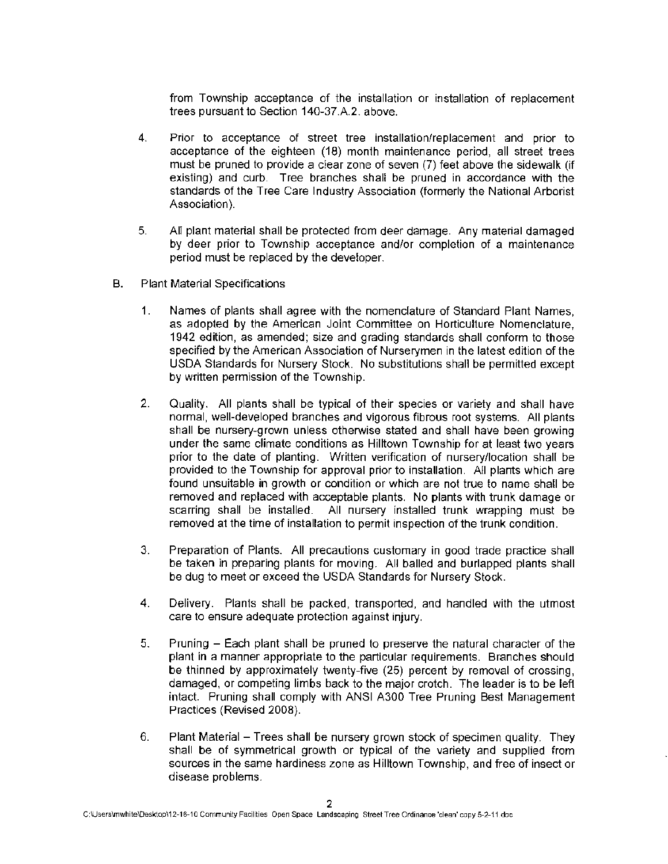from Township acceptance of the installation or installation of replacement trees pursuant to Section 140-37.A.2. above.

- 4. Prior to acceptance of street tree installation/replacement and prior to acceptance of the eighteen (18) month maintenance period, all street trees must be pruned to provide a clear zone of seven (7) feet above the sidewalk (if existing) and curb. Tree branches shall be pruned in accordance with the standards of the Tree Care Industry Association (formerly the National Arborist Association).
- 5. All plant material shall be protected from deer damage. Any material damaged by deer prior to Township acceptance and/or completion of a maintenance period must be replaced by the developer.
- B. Plant Material Specifications
	- 1. Names of plants shall agree with the nomenclature of Standard Plant Names, as adopted by the American Joint Committee on Horticulture Nomenclature, 1942 edition, as amended; size and grading standards shall conform to those specified by the American Association of Nurserymen in the latest edition of the USDA Standards for Nursery Stock. No substitutions shall be permitted except by written permission of the Township.
	- 2. Quality. All plants shall be typical of their species or variety and shall have normal, well-developed branches and vigorous fibrous root systems. All plants shall be nursery-grown unless otherwise stated and shall have been growing under the same climate conditions as Hilltown Towns hip for at least two years prior to the date of planting. Written verification of nursery/location shall be provided to the Township for approval prior to installation. All plants which are found unsuitable in growth or condition or which are not true to name shall be removed and replaced with acceptable plants. No plants with trunk damage or scarring shall be installed. All nursery installed trunk wrapping must be removed at the time of installation to permit inspection of the trunk condition.
	- 3. Preparation of Plants. All precautions customary in good trade practice shall be taken in preparing plants for moving. All balled and burlapped plants shall be dug to meet or exceed the USDA Standards for Nursery Stock.
	- 4. Delivery. Plants shall be packed, transported, and handled with the utmost care to ensure adequate protection against injury.
	- 5. Pruning Each plant shall be pruned to preserve the natural character of the plant in a manner appropriate to the particular requirements. Branches should be thinned by approximately twenty-five (25) percent by removal of crossing, damaged, or competing limbs back to the major crotch. The leader is to be left intact. Pruning shall comply with ANSI A300 Tree Pruning Best Management Practices (Revised 2008).
	- 6. Plant Material Trees shall be nursery grown stock of specimen quality. They shall be of symmetrical growth or typical of the variety and supplied from sources in the same hardiness zone as Hilltown Township, and free of insect or disease problems.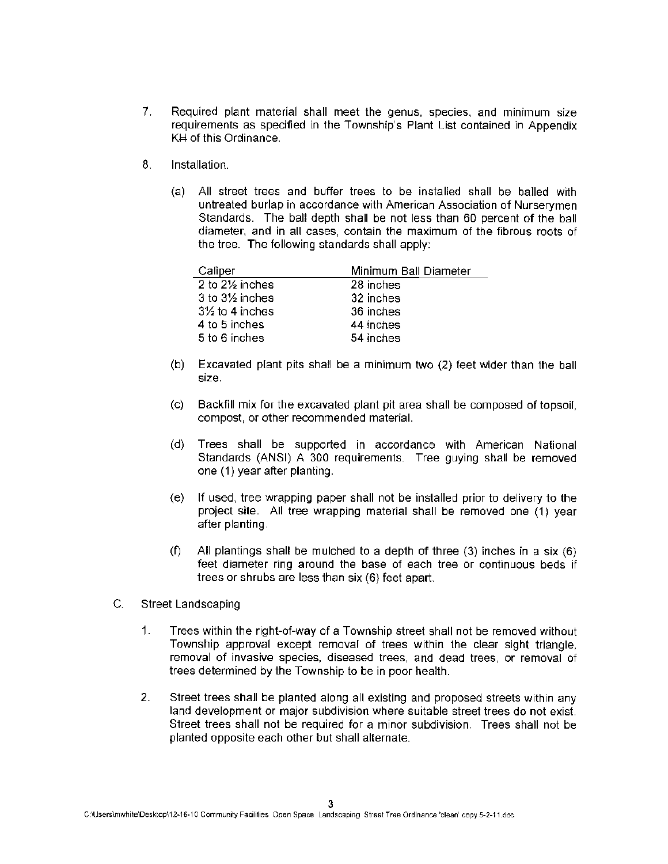- 7. Required plant material shall meet the genus, species, and minimum size requirements as specified in the Township's Plant List contained in Appendix KH of this Ordinance.
- 8. Installation.
	- (a) All street trees and buffer trees to be installed shall be balled with untreated burlap in accordance with American Association of Nurserymen Standards. The ball depth shall be not less than 60 percent of the ball diameter, and in all cases, contain the maximum of the fibrous roots of the tree. The following standards shall apply:

| Caliper                      | Minimum Ball Diameter |
|------------------------------|-----------------------|
| 2 to 21/ <sub>2</sub> inches | 28 inches             |
| $3$ to $3\frac{1}{2}$ inches | 32 inches             |
| $3\frac{1}{2}$ to 4 inches   | 36 inches             |
| 4 to 5 inches                | 44 inches             |
| 5 to 6 inches                | 54 inches             |

- (b) Excavated plant pits shall be a minimum two (2) feet wider than the ball size.
- (c) Backfill mix for the excavated plant pit area shall be composed of topsoil, compost, or other recommended material.
- (d) Trees shall be supported in accordance with American National Standards (ANSI) A 300 requirements. Tree guying shall be removed one (1) year after planting.
- (e) If used, tree wrapping paper shall not be installed prior to delivery to the project site. All tree wrapping material shall be removed one (1) year after planting.
- (f) All plantings shall be mulched to a depth of three (3) inches in a six (6) feet diameter ring around the base of each tree or continuous beds if trees or shrubs are less than six (6} feet apart.
- C. Street Landscaping
	- 1. Trees within the right-of-way of a Township street shall not be removed without Township approval except removal of trees within the clear sight triangle, removal of invasive species, diseased trees, and dead trees, or removal of trees determined by the Township to be in poor health.
	- 2. Street trees shall be planted along all existing and proposed streets within any land development or major subdivision where suitable street trees do not exist. Street trees shall not be required for a minor subdivision. Trees shall not be planted opposite each other but shall alternate.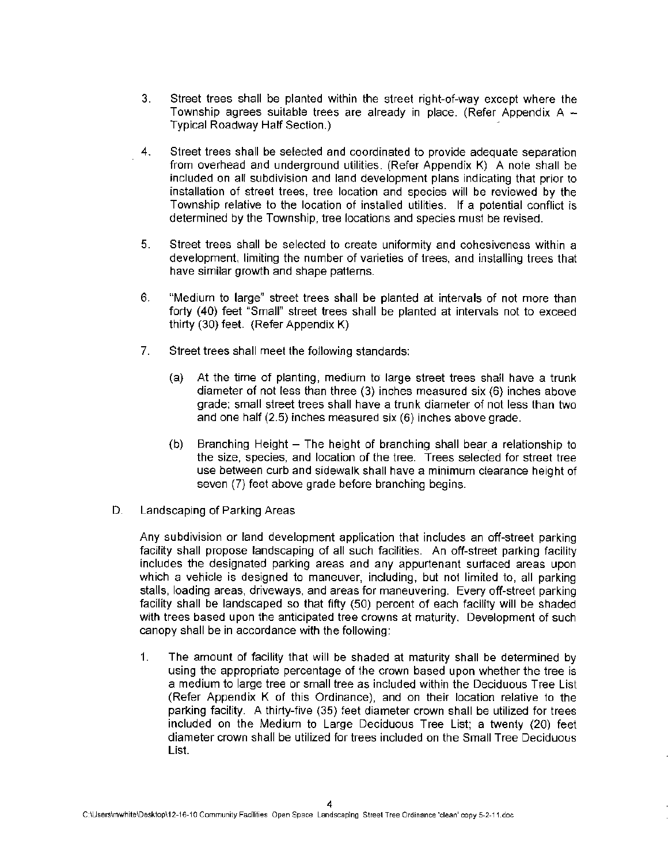- 3. Street trees shall be planted within the street right-of-way except where the Township agrees suitable trees are already in place. (Refer Appendix  $A -$ Typical Roadway Half Section.) ·
- 4. Street trees shall be selected and coordinated to provide adequate separation from overhead and underground utilities. (Refer Appendix K) A note shall be included on all subdivision and land development plans indicating that prior to installation of street trees, tree location and species will be reviewed by the Town ship relative to the location of installed utilities. If a potential conflict is determined by the Township, tree locations and species must be revised.
- 5. Street trees shall be selected to create uniformity and cohesiveness within a development, limiting the number of varieties of trees, and installing trees that have similar growth and shape patterns.
- 6. "Medium to large" street trees shall be planted at intervals of not more than forty (40) feet "Small" street trees shall be planted at intervals not to exceed thirty (30) feet. {Refer Appendix K)
- 7. Street trees shall meet the following standards:
	- (a) At the time of planting, medium to large street trees shall have a trunk diameter of not less than three (3) inches measured six (6) inches above grade; small street trees shall have a trunk diameter of not less than two and one half (2.5) inches measured six (6) inches above grade.
	- (b) Branching Height The height of branching shall bear a relationship to the size, species, and location of the tree. Trees selected for street tree use between curb and sidewalk shall have a minimum clearance height of seven (7) feet above grade before branching begins.
- D. Landscaping of Parking Areas

Any subdivision or land development application that includes an off-street parking facility shall propose landscaping of all such facilities. An off-street parking facility includes the designated parking areas and any appurtenant surfaced areas upon which a vehicle is designed to maneuver, including, but not limited to, all parking stalls, loading areas, driveways, and areas for maneuvering. Every off-street parking facility shall be landscaped so that fifty (50) percent of each facility will be shaded with trees based upon the anticipated tree crowns at maturity. Development of such canopy shall be in accordance with the following:

1. The amount of facility that will be shaded at maturity shall be determined by using the appropriate percentage of the crown based upon whether the tree is a medium to large tree or small tree as included within the Deciduous Tree List (Refer Appendix K of this Ordinance}, and on their location relative to the parking facility. A thirty-five (35) feet diameter crown shall be utilized for trees included on the Medium to Large Deciduous Tree List; a twenty (20) feet diameter crown shall be utilized for trees included on the Small Tree Deciduous List.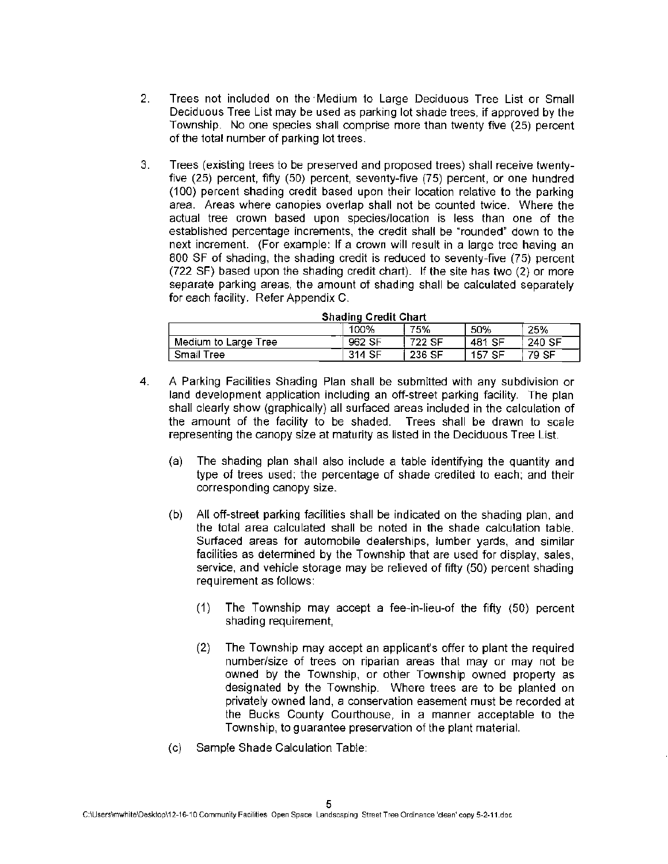- 2. Trees not included on the ·Medium to Large Deciduous Tree List or Small Deciduous Tree List may be used as parking lot shade trees, if approved by the Township. No one species shall comprise more than twenty five (25) percent of the total number of parking lot trees.
- 3. Trees (existing trees to be preserved and proposed trees) shall receive twentyfive (25) percent, fifty (50) percent, seventy-five (75) percent, or one hundred (100} percent shading credit based upon their location relative to the parking area. Areas where canopies overlap shall not be counted twice. Where the actual tree crown based upon species/location is less than one of the established percentage increments, the credit shall be "rounded" down to the next increment. (For example: If a crown will result in a large tree having an 800 SF of shading, the shading credit is reduced to seventy-five (75) percent (722 SF} based upon the shading credit chart). If the site has two (2) or more separate parking areas, the amount of shading shall be calculated separately for each facility. Refer Appendix C.

| Shading Credit Chart      |        |        |        |        |  |
|---------------------------|--------|--------|--------|--------|--|
| 100%<br>75%<br>25%<br>50% |        |        |        |        |  |
| Medium to Large Tree      | 962 SF | 722 SF | 481 SF | 240 SF |  |
| Small Tree                | 314 SF | 236 SF | 157 SF | 79 SF  |  |

## **S** ha **d"** mg **C** re **d" 1t Ch art**

- 4. A Parking Facilities Shading Plan shall be submitted with any subdivision or land development application including an off-street parking facility. The plan shall clearly show (graphically) all surfaced areas included in the calculation of the amount of the facility to be shaded. Trees shall be drawn to scale representing the canopy size at maturity as listed in the Deciduous Tree List.
	- (a) The shading plan shall also include a table identifying the quantity and type of trees used; the percentage of shade credited to each; and their corresponding canopy size.
	- (b) All off-street parking facilities shall be indicated on the shading plan, and the total area calculated shall be noted in the shade calculation table. Surfaced areas for automobile dealerships, lumber yards, and similar facilities as determined by the Township that are used for display, sales, service, and vehicle storage may be relieved of fifty (50} percent shading requirement as follows:
		- (1) The Township may accept a fee-in-lieu-of the fifty (50) percent shading requirement,
		- (2) The Township may accept an applicant's offer to plant the required number/size of trees on riparian areas that may or may not be owned by the Township, or other Township owned property as designated by the Township. Where trees are to be planted on privately owned land, a conservation easement must be recorded at the Bucks County Courthouse, in a manner acceptable to the Township, to guarantee preservation of the plant material.
	- (c) Sample Shade Calculation Table: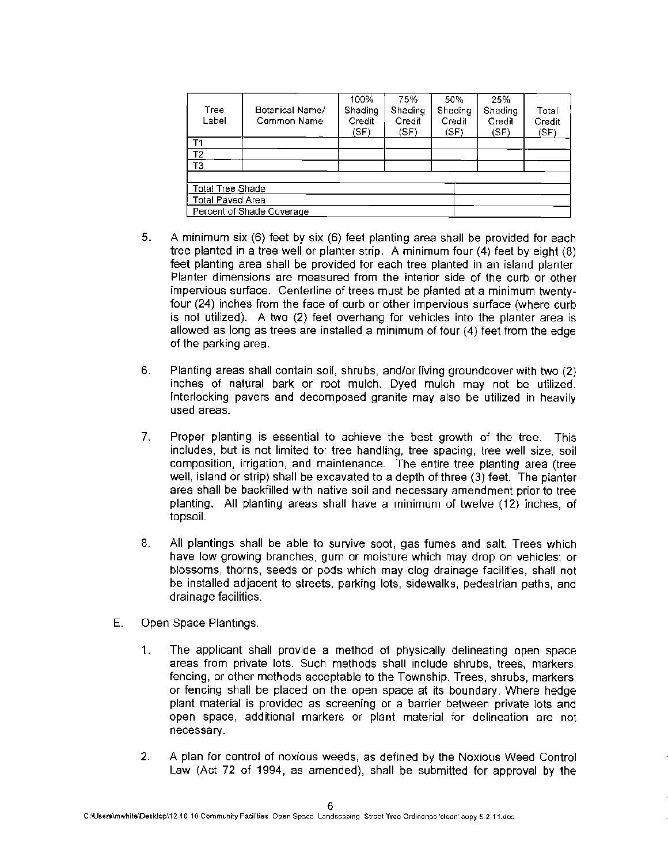| Tree<br>Label             | Botanical Name/<br>Common Name | 100%<br>Shading<br>Credit<br>(SF) | 75%<br>Shading<br>Credit<br>(SF) | 50%<br>Shading<br>Credit<br>(SF) | 25%<br>Shading<br>Credit<br>(SF) | Total<br>Credit<br>(SF) |  |
|---------------------------|--------------------------------|-----------------------------------|----------------------------------|----------------------------------|----------------------------------|-------------------------|--|
| T1                        |                                |                                   |                                  |                                  |                                  |                         |  |
| T <sub>2</sub>            |                                |                                   |                                  |                                  |                                  |                         |  |
| T <sub>3</sub>            |                                |                                   |                                  |                                  |                                  |                         |  |
|                           |                                |                                   |                                  |                                  |                                  |                         |  |
| <b>Total Tree Shade</b>   |                                |                                   |                                  |                                  |                                  |                         |  |
| <b>Total Paved Area</b>   |                                |                                   |                                  |                                  |                                  |                         |  |
| Percent of Shade Coverage |                                |                                   |                                  |                                  |                                  |                         |  |

- 5. A minimum six (6) feet by six (6) feet planting area shall be provided for each tree planted in a tree well or planter strip. A minimum four (4) feet by eight (8) feet planting area shall be provided for each tree planted in an island planter. Planter dimensions are measured from the interior side of the curb or other impervious surface. Centerline of trees must be planted at a minimum twentyfour (24) inches from the face of curb or other impervious surface (where curb is not utilized). A two (2) feet overhang for vehicles into the planter area is allowed as long as trees are installed a minimum of four (4) feet from the edge of the parking area.
- 6. Planting areas shall contain soil, shrubs, and/or living groundcover with two (2) inches of natural bark or root mulch. Dyed mulch may not be utilized. Interlocking pavers and decomposed granite may also be utilized in heavily used areas.
- 7. Proper planting is essential to achieve the best growth of the tree. This includes, but is not limited to: tree handling, tree spacing, tree well size, soil composition, irrigation, and maintenance. The entire tree planting area (tree well, island or strip) shall be excavated to a depth of three (3) feet. The planter area shall be backfilled with native soil and necessary amendment prior to tree planting. All planting areas shall have a minimum of twelve (12) inches, of topsoil.
- 8. All plantings shall be able to survive soot, gas fumes and salt. Trees which have low growing branches, gum or moisture which may drop on vehicles; or blossoms, thorns, seeds or pods which may clog drainage facilities, shall not be installed adjacent to streets, parking lots, sidewalks, pedestrian paths, and drainage facilities.
- E. Open Space Plantings.
	- 1. The applicant shall provide a method of physically delineating open space areas from private lots. Such methods shall include shrubs, trees, markers, fencing, or other methods acceptable to the Township. Trees. shrubs, markers, or fencing shall be placed on the open space at its boundary. Where hedge plant material is provided as screening or a barrier between private lots and open space, additional markers or plant material for delineation are not necessary.
	- 2. A plan for control of noxious weeds, as defined by the Noxious Weed Control Law (Act 72 of 1994, as amended}, shall be submitted for approval by the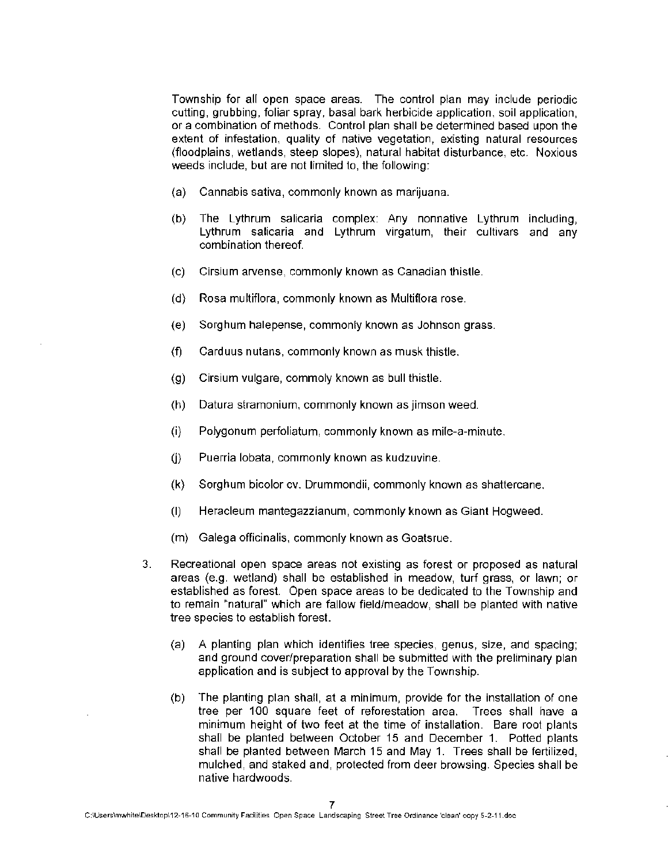Township for all open space areas. The control plan may include periodic cutting, grubbing, foliar spray, basal bark herbicide application, soil application, or a combination of methods. Control plan shall be determined based upon the extent of infestation, quality of native vegetation, existing natural resources (floodplains, wetlands, steep slopes), natural habitat disturbance, etc. Noxious weeds include, but are not limited to, the following:

- (a) Cannabis sativa, commonly known as marijuana.
- (b) The Lythrum salicaria complex: Any nonnative Lythrum including, Lythrum salicaria and Lythrum virgatum, their cultivars and any combination thereof.
- (c) Cirsium arvense, commonly known as Canadian thistle.
- (d) Rosa multiflora, commonly known as Multiflora rose.
- (e) Sorghum halepense, commonly known as Johnson grass.
- (f) Carduus nutans, commonly known as musk thistle.
- (g) Cirsium vulgare, commoly known as bull thistle.
- (h) Datura stramonium, commonly known as jimson weed.
- (i) Polygonum perfoliatum, commonly known as mile-a-minute.
- (j) Puerria lobata, commonly known as kudzuvine.
- (k) Sorghum bicolor cv. Drummondii, commonly known as shattercane.
- (I) Heracleum mantegazzianum, commonly known as Giant Hogweed.
- (m) Galega officinalis, commonly known as Goatsrue.
- 3. Recreational open space areas not existing as forest or proposed as natural areas (e.g. wetland) shall be established in meadow, turf grass, or lawn; or established as forest. Open space areas to be dedicated to the Town ship and to remain "natural" which are fallow field/meadow, shall be planted with native tree species to establish forest.
	- (a) A planting plan which identifies tree species, genus, size, and spacing; and ground cover/preparation shall be submitted with the preliminary plan application and is subject to approval by the Township.
	- (b) The planting plan shall, at a minimum, provide for the installation of one tree per 100 square feet of reforestation area. Trees shall have a minimum height of two feet at the time of installation. Bare root plants shall be planted between October 15 and December 1. Potted plants shall be planted between March 15 and May 1. Trees shall be fertilized, mulched, and staked and, protected from deer browsing. Species shall be native hardwoods.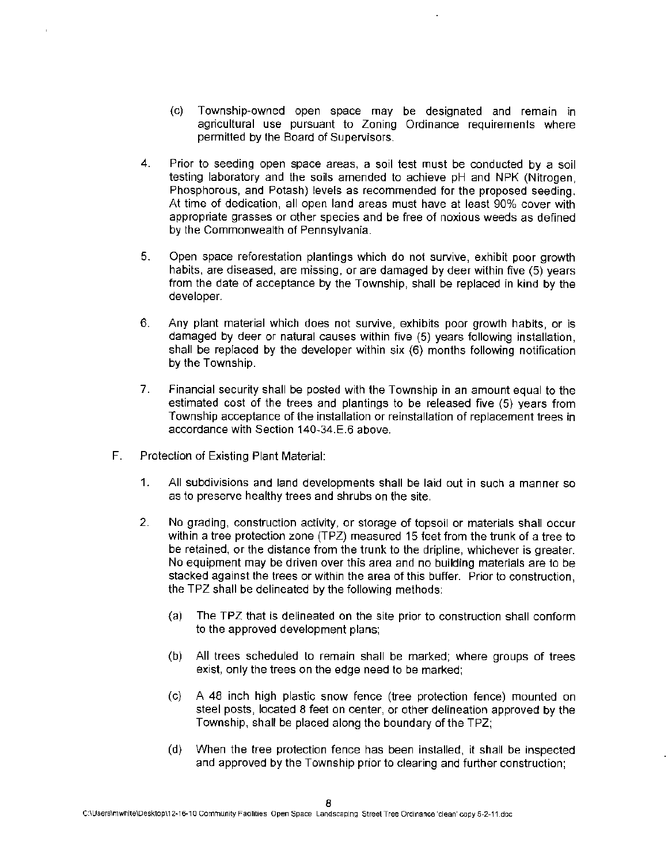- (c) Township-owned open space may be designated and remain in agricultural use pursuant to Zoning Ordinance requirements where permitted by the Board of Supervisors.
- 4. Prior to seeding open space areas, a soil test must be conducted by a soil testing laboratory and the soils amended to achieve pH and NPK (Nitrogen, Phosphorous, and Potash} levels as recommended for the proposed seeding. At time of dedication, all open land areas must have at least 90% cover with appropriate grasses or other species and be free of noxious weeds as defined by the Commonwealth of Pennsylvania.
- 5. Open space reforestation plantings which do not survive, exhibit poor growth habits, are diseased, are missing, or are damaged by deer within five (5) years from the date of acceptance by the Township, shall be replaced in kind by the developer.
- 6. Any plant material which does not survive, exhibits poor growth habits, or is damaged by deer or natural causes within five (5) years following installation, shall be replaced by the developer within six (6} months following notification by the Township.
- 7. Financial security shall be posted with the Township in an amount equal to the estimated cost of the trees and plantings to be released five (5) years from Township acceptance of the installation or reinstallation of replacement trees in accordance with Section 140-34.E.6 above.
- F. Protection of Existing Plant Material:
	- 1. All subdivisions and land developments shall be laid out in such a manner so as to preserve healthy trees and shrubs on the site.
	- 2. No grading, construction activity, or storage of topsoil or materials shall occur within a tree protection zone (TPZ) measured 15 feet from the trunk of a tree to be retained, or the distance from the trunk to the dripline, whichever is greater. No equipment may be driven over this area and no building materials are to be stacked against the trees or within the area of this buffer. Prior to construction, the TPZ shall be delineated by the following methods:
		- (a) The TPZ that is delineated on the site prior to construction shall conform to the approved development plans;
		- (b) All trees scheduled to remain shall be marked; where groups of trees exist, only the trees on the edge need to be marked;
		- (c) A 48 inch high plastic snow fence (tree protection fence) mounted on steel posts, located 8 feet on center, or other delineation approved by the Township, shall be placed along the boundary of the TPZ;
		- (d) When the tree protection fence has been installed, it shall be inspected and approved by the Township prior to clearing and further construction;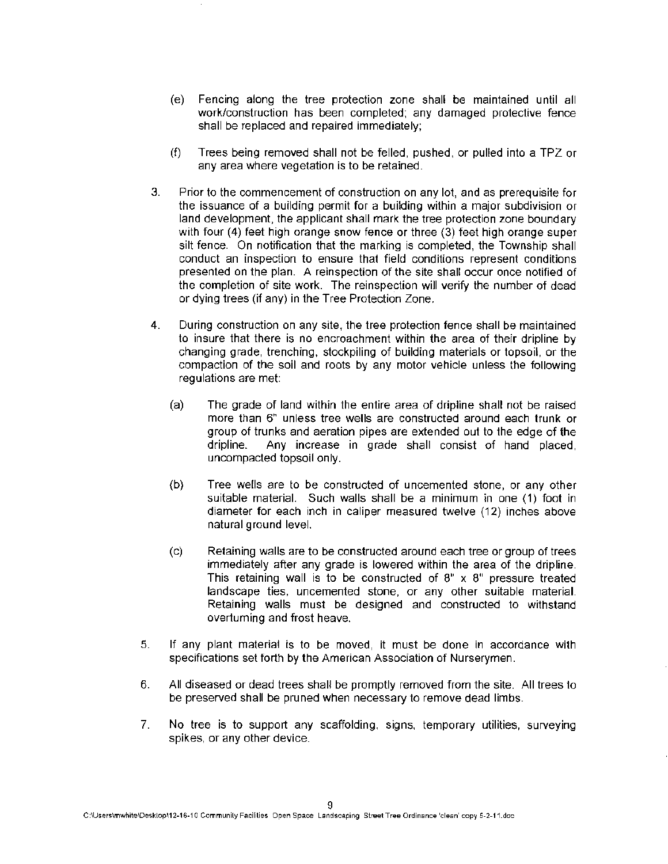- (e) Fencing along the tree protection zone shall be maintained until all work/construction has been completed; any damaged protective fence shall be replaced and repaired immediately;
- (f) Trees being removed shall not be felled, pushed, or pulled into a TPZ or any area where vegetation is to be retained.
- 3. Prior to the commencement of construction on any lot, and as prerequisite for the issuance of a building permit for a building within a major subdivision or land development, the applicant shall mark the tree protection zone boundary with four (4) feet high orange snow fence or three (3) feet high orange super silt fence. On notification that the marking is completed, the Township shall conduct an inspection to ensure that field conditions represent conditions presented on the plan. A reinspection of the site shall occur once notified of the completion of site work. The reinspection will verify the number of dead or dying trees (if any) in the Tree Protection Zone.
- 4. During construction on any site, the tree protection fence shall be maintained to insure that there is no encroachment within the area of their dripline by changing grade, trenching, stockpiling of building materials or topsoil, or the compaction of the soil and roots by any motor vehicle unless the following regulations are met:
	- (a) The grade of land within the entire area of dripline shall not be raised more than 6" unless tree wells are constructed around each trunk or group of trunks and aeration pipes are extended out to the edge of the dripline. Any increase in grade shall consist of hand placed, uncompacted topsoil only.
	- (b) Tree wells are to be constructed of uncemented stone, or any other suitable material. Such walls shall be a minimum in one (1) foot in diameter for each inch in caliper measured twelve (12) inches above natural ground level.
	- (c) Retaining walls are to be constructed around each tree or group of trees immediately after any grade is lowered within the area of the dripline. This retaining wall is to be constructed of  $8" \times 8"$  pressure treated landscape ties, uncemented stone, or any other suitable material. Retaining walls must be designed and constructed to withstand overturning and frost heave.
- 5. If any plant material is to be moved, it must be done in accordance with specifications set forth by the American Association of Nurserymen.
- 6. All diseased or dead trees shall be promptly removed from the site. All trees to be preserved shall be pruned when necessary to remove dead limbs.
- 7. No tree is to support any scaffolding, signs, temporary utilities, surveying spikes, or any other device.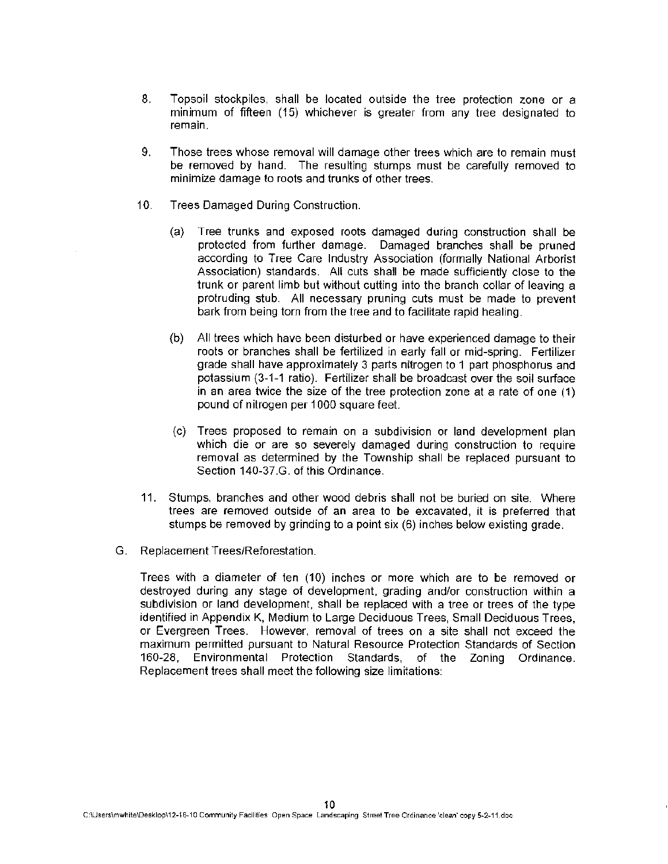- 8. Topsoil stockpiles, shall be located outside the tree protection zone or a minimum of fifteen (15) whichever is greater from any tree designated to remain.
- 9. Those trees whose removal will damage other trees which are to remain must be removed by hand. The resulting stumps must be carefully removed to minimize damage to roots and trunks of other trees.
- 10. Trees Damaged During Construction.
	- (a) Tree trunks and exposed roots damaged during construction shall be protected from further damage. Damaged branches shall be pruned according to Tree Care Industry Association (formally National Arborist Association) standards. All cuts shall be made sufficiently close to the trunk or parent limb but without cutting into the branch collar of leaving a protruding stub. All necessary pruning cuts must be made to prevent bark from being torn from the tree and to facilitate rapid healing.
	- (b) All trees which have been disturbed or have experienced damage to their roots or branches shall be fertilized in early fall or mid-spring. Fertilizer grade shall have approximately 3 parts nitrogen to 1 part phosphorus and potassium (3-1-1 ratio). Fertilizer shall be broadcast over the soil surface in an area twice the size of the tree protection zone at a rate of one (1) pound of nitrogen per 1000 square feet.
	- (c) Trees proposed to remain on a subdivision or land development plan which die or are so severely damaged during construction to require removal as determined by the Township shall be replaced pursuant to Section 140-37.G. of this Ordinance.
- 11. Stumps, branches and other wood debris shall not be buried on site. Where trees are removed outside of an area to be excavated, it is preferred that stumps be removed by grinding to a point six (6) inches below existing grade.
- G. Replacement Trees/Reforestation.

Trees with a diameter of ten (10) inches or more which are to be removed or destroyed during any stage of development, grading and/or construction within a subdivision or land development, shall be replaced with a tree or trees of the type identified in Appendix K, Medium to Large Deciduous Trees, Small Deciduous Trees, or Evergreen Trees. However, removal of trees on a site shall not exceed the maximum permitted pursuant to Natural Resource Protection Standards of Section 160-28, Environmental Protection Standards, of the Zoning Ordinance. Replacement trees shall meet the following size limitations: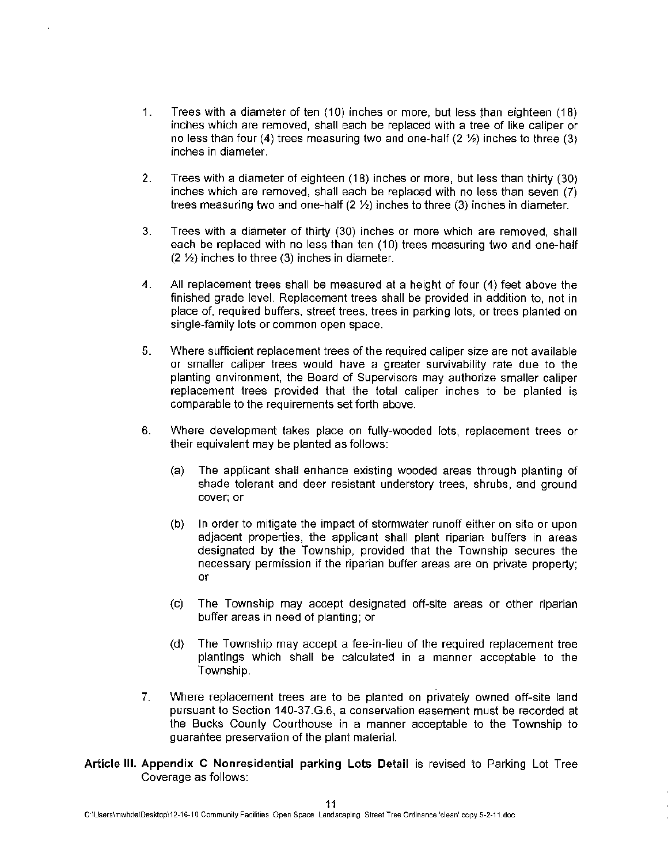- 1. Trees with a diameter of ten  $(10)$  inches or more, but less than eighteen  $(18)$ inches which are removed, shall each be replaced with a tree of like caliper or no less than four (4) trees measuring two and one-half (2 %) inches to three (3) inches in diameter.
- 2. Trees with a diameter of eighteen (18) inches or more, but less than thirty (30) inches which are removed, shall each be replaced with no less than seven (7) trees measuring two and one-half  $(2 \frac{1}{2})$  inches to three  $(3)$  inches in diameter.
- 3. Trees with a diameter of thirty (30) inches or more which are removed, shall each be replaced with no less than ten (10) trees measuring two and one-half  $(2 \frac{1}{2})$  inches to three (3) inches in diameter.
- 4. All replacement trees shall be measured at a height of four (4) feet above the finished grade level. Replacement trees shall be provided in addition to, not in place of, required buffers, street trees. trees in parking lots, or trees planted on single-family lots or common open space.
- 5. Where sufficient replacement trees of the required caliper size are not available or smaller caliper trees would have a greater survivability rate due to the planting environment, the Board of Supervisors may authorize smaller caliper replacement trees provided that the total caliper inches to be planted is comparable to the requirements set forth above.
- 6. Where development takes place on fully-wooded lots, replacement trees or their equivalent may be planted as follows:
	- (a) The applicant shall enhance existing wooded areas through planting of shade tolerant and deer resistant understory trees, shrubs, and ground cover; or
	- (b) In order to mitigate the impact of stormwater runoff either on site or upon adjacent properties, the applicant shall plant riparian buffers in areas designated by the Township, provided that the Township secures the necessary permission if the riparian buffer areas are on private property; or
	- (c) The Township may accept designated off-site areas or other riparian buffer areas in need of planting; or
	- (d} The Township may accept a fee-in-lieu of the required replacement tree plantings which shall be calculated in a manner acceptable to the Township.
- 7. Where replacement trees are to be planted on privately owned off-site land pursuant to Section 140-37.G.6, a conservation easement must be recorded at the Bucks County Courthouse in a manner acceptable to the Township to guarantee preservation of the plant material.
- **Article** Ill. **Appendix C Nonresidential parking Lots Detail** is revised to Parking Lot Tree Coverage as follows: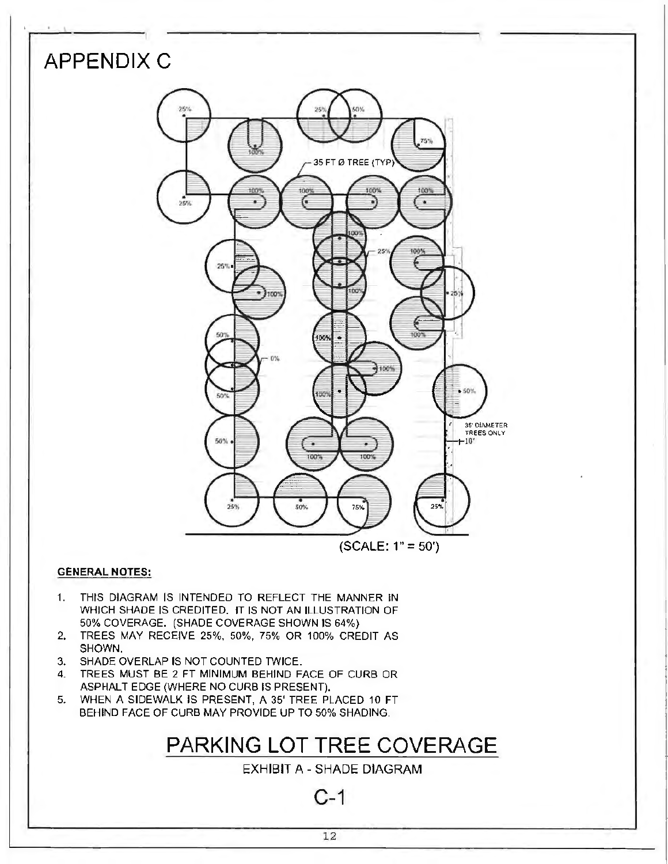

#### **GENERAL NOTES:**

- 1. THIS DIAGRAM IS INTENDED TO REFLECT THE MANNER IN WHICH SHADE IS CREDITED. IT IS NOT AN ILLUSTRATION OF 50% COVERAGE. (SHADE COVERAGE SHOWN IS 64%}
- 2. TREES MAY RECEIVE 25%. 50%, 75% OR 100% CREDIT AS SHOWN.
- 3. SHADE OVERLAP IS NOT COUNTED TWICE.
- 4. TREES MUST BE 2 FT MINIMUM BEHIND FACE OF CURB OR ASPHALT EDGE (WHERE NO CURB IS PRESENT).
- 5. WHEN A SIDEWALK IS PRESENT, A 35' TREE PLACED 10 FT BEHIND FACE OF CURB MAY PROVIDE UP TO 50% SHADING.

# **PARKING LOT TREE COVERAGE**

EXHIBIT A - SHADE DIAGRAM

**C-1**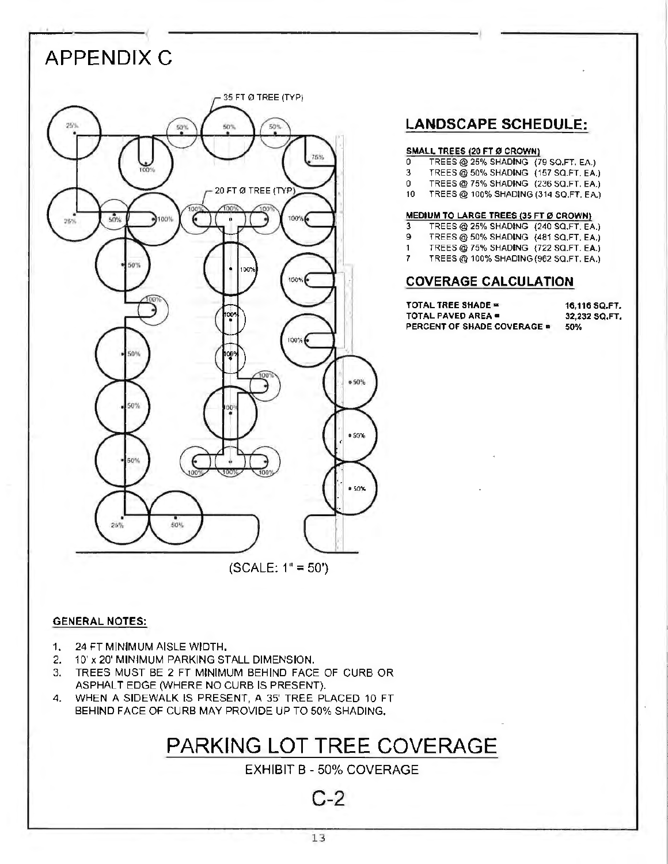# **APPENDIX C**  35 FT Ø TREE (TYP) 75% 20 FT Ø TREE (TYP  $100%$  $50%$ 100% 25% 50% DO. 100% 100% 50%  $$60%$ 50%  $0.50%$ 50%  $*50%$ 50% 25% (SCALE: 1" = 50')

## **LANDSCAPE SCHEDULE:**

## **SMALL TREES (20 FT Ø CROWN)**<br>0 TREES @ 25% SHADING (7

- 0 TREES@ 25% SHADlNG (79 SO.FT. **EA.)**
- 3 TREES@ 50% SHADING (157 SQ.FT. EA.)
- 0 TREES@ 75% SHADING (236 SQ.FT. EA.)
- 10 TREES@ 100% SHADING (314 SO.FT. EA.)

#### **MEDIUM TO LARGE TREES (35** FT **0 CROWN}**

- 3 TREES @ 25% SHADING (240 SQ.FT. EA.)<br>9 TREES @ 50% SHADING (481 SQ.FT. FA.)
- 9 TREES@50% SHADlNG (481 SQ.FT. EA.)
- 1 TREES@ 75% SHADlNG (722 SQ.FT. EA.)
- 7 TREES@ 100% SHADING(962 SO.FT. **EA.)**

### **COVERAGE CALCULATION**

| TOTAL TREE SHADE ≖          | 16.116 SQ.FT. |
|-----------------------------|---------------|
| TOTAL PAVED AREA ■          | 32.232 SQ.FT. |
| PERCENT OF SHADE COVERAGE ■ | 50%           |

#### **GENERAL NOTES:**

- 1. 24 FT MINIMUM AISLE WIDTH.
- 2. 10' x 20' MINIMUM PARKING STALL DIMENSION.
- 3. TREES MUST BE 2 FT MINIMUM BEHIND FACE OF CURB OR ASPHALT EDGE (WHERE NO CURB IS PRESENT}.
- 4. WHEN A SIDEWALK IS PRESENT, A 35' TREE PLACED 10 FT BEHIND FACE OF CURB MAY PROVIDE UP TO 50% SHADING.

## **PARKING LOT TREE COVERAGE**

EXHIBIT B- 50% COVERAGE

C-2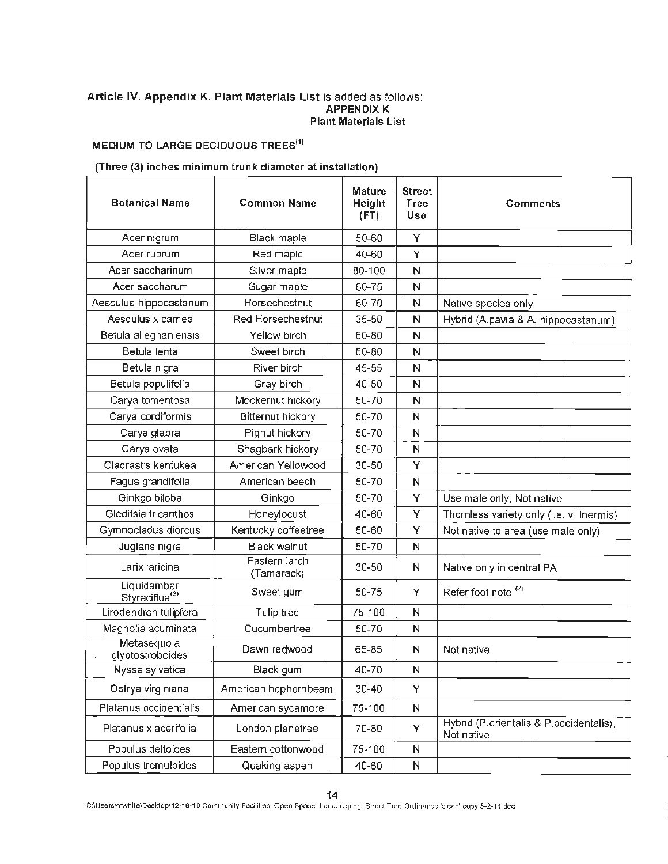#### **Article IV. Appendix K. Plant Materials List** is added as follows: **APPENDIX K Plant Materials List**

## **MEDIUM TO LARGE DECIDUOUS TREES<sup>(1)</sup>**

#### **(Three (3) inches minimum trunk diameter at installation)**

| <b>Botanical Name</b>                     | <b>Common Name</b>          | <b>Mature</b><br>Height<br>(FT) | <b>Street</b><br>Tree<br>Use | <b>Comments</b>                                       |
|-------------------------------------------|-----------------------------|---------------------------------|------------------------------|-------------------------------------------------------|
| Acer nigrum                               | Black maple                 | 50-60                           | Υ                            |                                                       |
| Acer rubrum                               | Red maple                   | 40-60                           | Υ                            |                                                       |
| Acer saccharinum                          | Silver maple                | 80-100                          | N                            |                                                       |
| Acer saccharum                            | Sugar maple                 | 60-75                           | N                            |                                                       |
| Aesculus hippocastanum                    | Horsechestnut               | 60-70                           | N                            | Native species only                                   |
| Aesculus x carnea                         | Red Horsechestnut           | 35-50                           | N                            | Hybrid (A.pavia & A. hippocastanum)                   |
| Betula alleghaniensis                     | Yellow birch                | 60-80                           | N                            |                                                       |
| Betula lenta                              | Sweet birch                 | 60-80                           | N                            |                                                       |
| Betula nigra                              | River birch                 | 45-55                           | N                            |                                                       |
| Betula populifolia                        | Gray birch                  | 40-50                           | N                            |                                                       |
| Carya tomentosa                           | Mockernut hickory           | 50-70                           | N                            |                                                       |
| Carya cordiformis                         | <b>Bitternut hickory</b>    | 50-70                           | N                            |                                                       |
| Carya glabra                              | Pignut hickory              | 50-70                           | N                            |                                                       |
| Carya ovata                               | Shagbark hickory            | 50-70                           | N                            |                                                       |
| Cladrastis kentukea                       | American Yellowood          | $30 - 50$                       | Y                            |                                                       |
| Fagus grandifolia                         | American beech              | 50-70                           | N                            |                                                       |
| Ginkgo biloba                             | Ginkgo                      | 50-70                           | Y                            | Use male only, Not native                             |
| Gleditsia tricanthos                      | Honeylocust                 | 40-60                           | Y                            | Thornless variety only (i.e. v. Inermis)              |
| Gymnocladus diorcus                       | Kentucky coffeetree         | 50-60                           | Y                            | Not native to area (use male only)                    |
| Juglans nigra                             | <b>Black walnut</b>         | 50-70                           | $\mathsf{N}$                 |                                                       |
| Larix laricina                            | Eastern larch<br>(Tamarack) | $30 - 50$                       | N                            | Native only in central PA                             |
| Liquidambar<br>Styraciflua <sup>(2)</sup> | Sweet gum                   | 50-75                           | Y                            | Refer foot note <sup>(2)</sup>                        |
| Lirodendron tulipfera                     | Tulip tree                  | 75-100                          | N                            |                                                       |
| Magnolia acuminata                        | Cucumbertree                | 50-70                           | $\mathsf{N}$                 |                                                       |
| Metasequoia<br>glyptostroboides           | Dawn redwood                | 65-85                           | N                            | Not native                                            |
| Nyssa sylvatica                           | Black gum                   | 40-70                           | N                            |                                                       |
| Ostrya virginiana                         | American hophornbeam        | $30 - 40$                       | Y                            |                                                       |
| Platanus occidentialis                    | American sycamore           | 75-100                          | N                            |                                                       |
| Platanus x acerifolia                     | London planetree            | 70-80                           | Y                            | Hybrid (P.orientalis & P.occidentalis),<br>Not native |
| Populus deltoides                         | Eastern cottonwood          | 75-100                          | N                            |                                                       |
| Populus tremuloides                       | Quaking aspen               | 40-60                           | N                            |                                                       |

14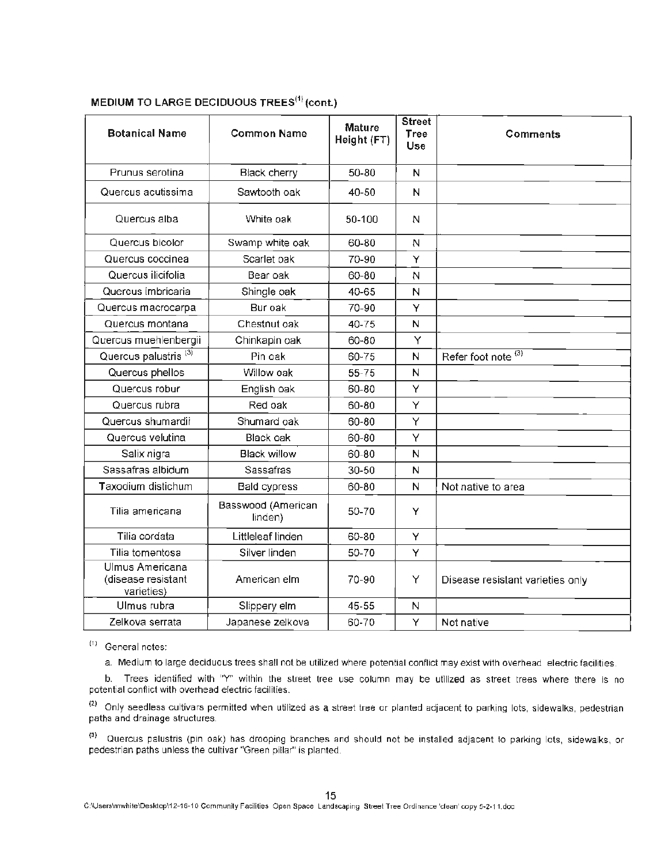| <b>Botanical Name</b>                               | <b>Common Name</b>            | <b>Mature</b><br>Height (FT) | <b>Street</b><br>Tree<br><b>Use</b> | Comments                         |
|-----------------------------------------------------|-------------------------------|------------------------------|-------------------------------------|----------------------------------|
| Prunus serotina                                     | <b>Black cherry</b>           | 50-80                        | N                                   |                                  |
| Quercus acutissima                                  | Sawtooth oak                  | $40 - 50$                    | N                                   |                                  |
| Quercus alba                                        | White oak                     | 50-100                       | N                                   |                                  |
| Quercus bicolor                                     | Swamp white oak               | 60-80                        | N                                   |                                  |
| Quercus coccinea                                    | Scarlet oak                   | 70-90                        | Y                                   |                                  |
| Quercus ilicifolia                                  | Bear oak                      | 60-80                        | N                                   |                                  |
| Quercus imbricaria                                  | Shingle oak                   | 40-65                        | N                                   |                                  |
| Quercus macrocarpa                                  | Bur oak                       | 70-90                        | Ÿ                                   |                                  |
| Quercus montana                                     | Chestnut oak                  | 40-75                        | N                                   |                                  |
| Quercus muehlenbergii                               | Chinkapin oak                 | 60-80                        | Y                                   |                                  |
| Quercus palustris <sup>(3)</sup>                    | Pin oak                       | 60-75                        | N                                   | Refer foot note (3)              |
| Quercus phellos                                     | Willow oak                    | 55-75                        | N                                   |                                  |
| Quercus robur                                       | English oak                   | 60-80                        | Ÿ                                   |                                  |
| Quercus rubra                                       | Red oak                       | 60-80                        | Υ                                   |                                  |
| Quercus shumardii                                   | Shumard oak                   | $60 - 80$                    | Y                                   |                                  |
| Quercus velutina                                    | <b>Black oak</b>              | 60-80                        | Y                                   |                                  |
| Salix nigra                                         | <b>Black willow</b>           | 60-80                        | N                                   |                                  |
| Sassafras albidum                                   | Sassafras                     | $30 - 50$                    | N                                   |                                  |
| Taxodium distichum                                  | <b>Bald cypress</b>           | 60-80                        | N                                   | Not native to area               |
| Tilia americana                                     | Basswood (American<br>linden) | 50-70                        | Y                                   |                                  |
| Tilia cordata                                       | Littleleaf linden             | 60-80                        | Y                                   |                                  |
| Tilia tomentosa                                     | Silver linden                 | 50-70                        | Y                                   |                                  |
| Ulmus Americana<br>(disease resistant<br>varieties) | American elm                  | 70-90                        | Y                                   | Disease resistant varieties only |
| Ulmus rubra                                         | Slippery elm                  | 45-55                        | N                                   |                                  |
| Zelkova serrata                                     | Japanese zelkova              | 60-70                        | Y                                   | Not native                       |

## **MEDIUM TO LARGE DECIDUOUS TREES<sup>(1)</sup> (cont.)**

 $(1)$  General notes:

a. Medium to large deciduous trees shall not be utilized where potential conflict may exist with overhead electric facilities.

b. Trees identified with "Y" within the street tree use column may be utilized as street trees where there is no potential conflict with overhead electric facilities.

<sup>(2)</sup> Only seedless cultivars permitted when utilized as a street tree or planted adjacent to parking lots, sidewalks, pedestrian paths and drainage structures.

<sup>(3)</sup> Quercus palustris (pin oak) has drooping branches and should not be installed adjacent to parking lots, sidewalks, or pedestrian paths unless the cultivar ''Green pillar" is planted.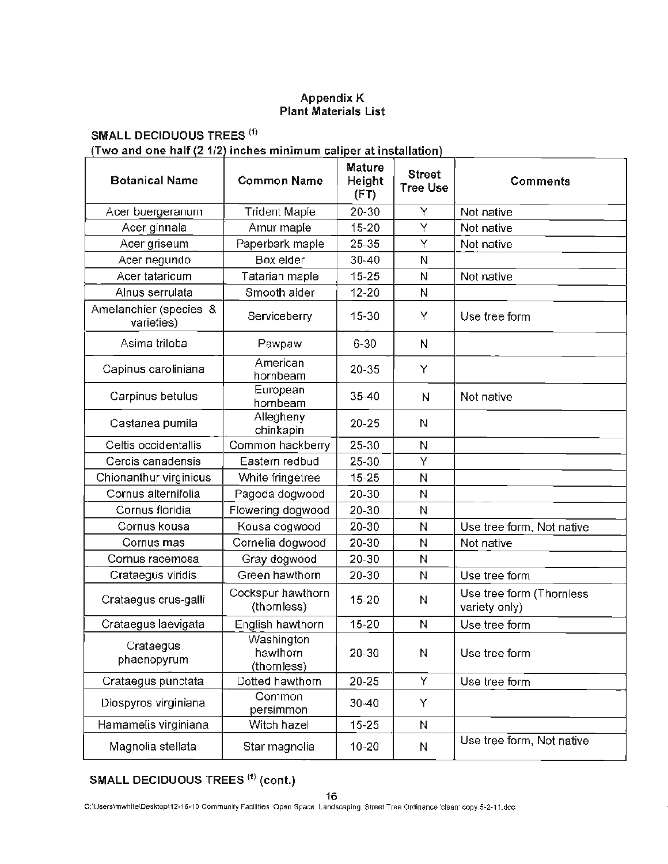#### Appendix K Plant Materials List

## **SMALL DECIDUOUS TREES <sup>(1)</sup>**

**(Two and one half (2 1/2 inches minimum caliper at installation)** 

| <b>Botanical Name</b>                | <b>Common Name</b>                    | <b>Mature</b><br>Height<br>(FT) | <b>Street</b><br><b>Tree Use</b> | Comments                                  |
|--------------------------------------|---------------------------------------|---------------------------------|----------------------------------|-------------------------------------------|
| Acer buergeranum                     | <b>Trident Maple</b>                  | 20-30                           | Υ                                | Not native                                |
| Acer ginnala                         | Amur maple                            | $15 - 20$                       | Y                                | Not native                                |
| Acer griseum                         | Paperbark maple                       | 25-35                           | Y                                | Not native                                |
| Acer negundo                         | Box elder                             | $30 - 40$                       | N                                |                                           |
| Acer tataricum                       | Tatarian maple                        | $15 - 25$                       | N                                | Not native                                |
| Alnus serrulata                      | Smooth alder                          | $12 - 20$                       | N                                |                                           |
| Amelanchier (species &<br>varieties) | Serviceberry                          | 15-30                           | Y                                | Use tree form                             |
| Asima triloba                        | Pawpaw                                | $6 - 30$                        | N                                |                                           |
| Capinus caroliniana                  | American<br>hornbeam                  | 20-35                           | Y                                |                                           |
| Carpinus betulus                     | European<br>hornbeam                  | $35 - 40$                       | N                                | Not native                                |
| Castanea pumila                      | Allegheny<br>chinkapin                | $20 - 25$                       | N                                |                                           |
| Celtis occidentallis                 | Common hackberry                      | 25-30                           | N                                |                                           |
| Cercis canadensis                    | Eastern redbud                        | 25-30                           | Υ                                |                                           |
| Chionanthur virginicus               | White fringetree                      | $15 - 25$                       | N                                |                                           |
| Cornus alternifolia                  | Pagoda dogwood                        | 20-30                           | N                                |                                           |
| Cornus floridia                      | Flowering dogwood                     | 20-30                           | N                                |                                           |
| Cornus kousa                         | Kousa dogwood                         | 20-30                           | N                                | Use tree form, Not native                 |
| Cornus mas                           | Cornelia dogwood                      | 20-30                           | N                                | Not native                                |
| Cornus racemosa                      | Gray dogwood                          | 20-30                           | N                                |                                           |
| Crataegus viridis                    | Green hawthorn                        | 20-30                           | N                                | Use tree form                             |
| Crataegus crus-galli                 | Cockspur hawthorn<br>(thornless)      | 15-20                           | N                                | Use tree form (Thornless<br>variety only) |
| Crataegus laevigata                  | English hawthorn                      | $15 - 20$                       | N                                | Use tree form                             |
| Crataegus<br>phaenopyrum             | Washington<br>hawthorn<br>(thornless) | 20-30                           | N                                | Use tree form                             |
| Crataegus punctata                   | Dotted hawthorn                       | 20-25                           | Y                                | Use tree form                             |
| Diospyros virginiana                 | Common<br>persimmon                   | $30 - 40$                       | Y                                |                                           |
| Hamamelis virginiana                 | Witch hazel                           | $15 - 25$                       | N                                |                                           |
| Magnolia stellata                    | Star magnolia                         | $10 - 20$                       | N                                | Use tree form, Not native                 |

## **SMALL DECIDUOUS TREES** <sup>&</sup>lt; 1 > **(cont.)**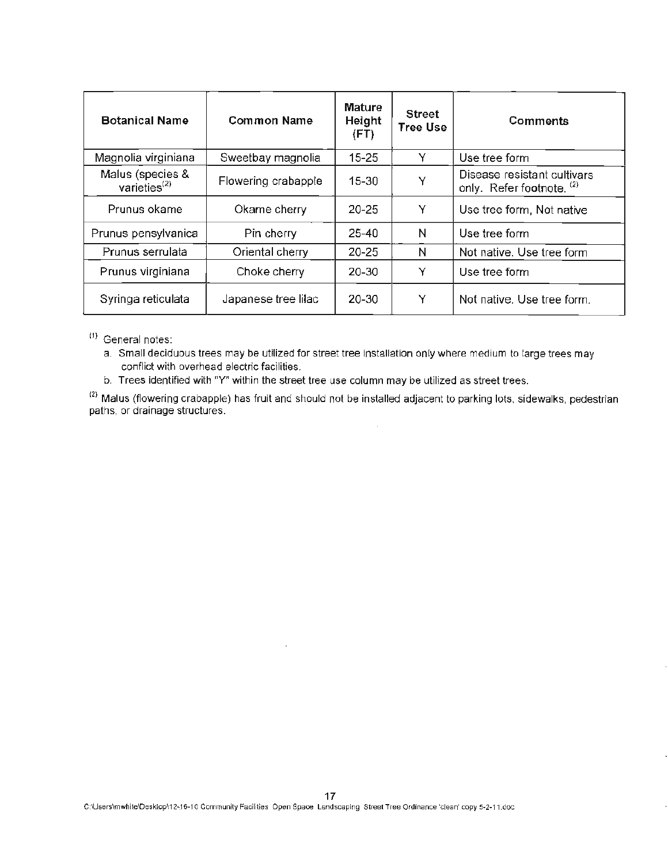| <b>Botanical Name</b>               | <b>Common Name</b>  | <b>Mature</b><br>Height<br>(FT) | <b>Street</b><br><b>Tree Use</b> | <b>Comments</b>                                                     |
|-------------------------------------|---------------------|---------------------------------|----------------------------------|---------------------------------------------------------------------|
| Magnolia virginiana                 | Sweetbay magnolia   | $15 - 25$                       | Y                                | Use tree form                                                       |
| Malus (species &<br>varieties $(2)$ | Flowering crabapple | $15 - 30$                       | Y                                | Disease resistant cultivars<br>only. Refer footnote. <sup>(2)</sup> |
| Prunus okame                        | Okame cherry        | 20-25                           | Y                                | Use tree form, Not native                                           |
| Prunus pensylvanica                 | Pin cherry          | $25 - 40$                       | N                                | Use tree form                                                       |
| Prunus serrulata                    | Oriental cherry     | $20 - 25$                       | Ν                                | Not native. Use tree form                                           |
| Prunus virginiana                   | Choke cherry        | 20-30                           | Y                                | Use tree form                                                       |
| Syringa reticulata                  | Japanese tree lilac | 20-30                           | Y                                | Not native. Use tree form.                                          |

- (i) General notes:
	- a. Small deciduous trees may be utilized for street tree installation only where medium to large trees may conflict with overhead electric facilities.
	- b. Trees identified with "Y" within the street tree use column may be utilized as street trees.

 $^{(2)}$  Malus (flowering crabapple) has fruit and should not be installed adjacent to parking lots, sidewalks, pedestrian, paths, or drainage structures.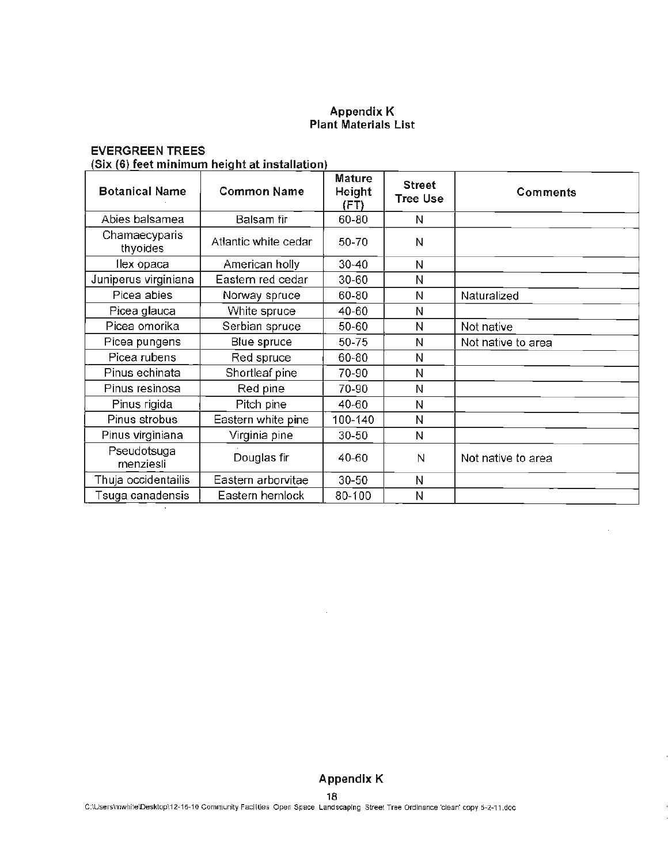#### Appendix K Plant Materials List

## EVERGREEN TREES

## (Six (6) feet minimum height at installation}

| <b>Botanical Name</b>     | <b>Common Name</b>   | <b>Mature</b><br>Height<br>(FT) | <b>Street</b><br><b>Tree Use</b> | <b>Comments</b>    |
|---------------------------|----------------------|---------------------------------|----------------------------------|--------------------|
| Abies balsamea            | Balsam fir           | 60-80                           | N                                |                    |
| Chamaecyparis<br>thyoides | Atlantic white cedar | 50-70                           | N                                |                    |
| llex opaca                | American holly       | $30 - 40$                       | N                                |                    |
| Juniperus virginiana      | Eastern red cedar    | 30-60                           | N                                |                    |
| Picea abies               | Norway spruce        | 60-80                           | N                                | Naturalized        |
| Picea glauca              | White spruce         | 40-60                           | N                                |                    |
| Picea omorika             | Serbian spruce       | 50-60                           | N                                | Not native         |
| Picea pungens             | Blue spruce          | 50-75                           | N                                | Not native to area |
| Picea rubens              | Red spruce           | 60-80                           | N                                |                    |
| Pinus echinata            | Shortleaf pine       | 70-90                           | N                                |                    |
| Pinus resinosa            | Red pine             | 70-90                           | N                                |                    |
| Pinus rigida              | Pitch pine           | 40-60                           | N                                |                    |
| Pinus strobus             | Eastern white pine   | 100-140                         | N                                |                    |
| Pinus virginiana          | Virginia pine        | 30-50                           | N                                |                    |
| Pseudotsuga<br>menziesli  | Douglas fir          | 40-60                           | N                                | Not native to area |
| Thuja occidentailis       | Eastern arborvitae   | 30-50                           | $\mathsf{N}$                     |                    |
| Tsuga canadensis          | Eastern hemlock      | 80-100                          | N                                |                    |

## **Appendix** K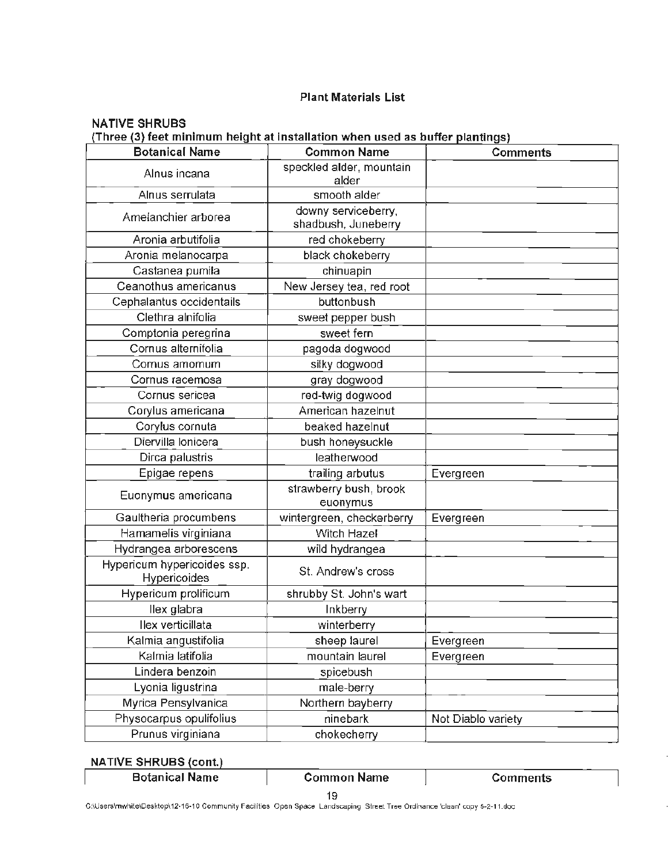#### Plant Materials List

## NATIVE SHRUBS **(Three (3) feet minimum height at installation when used as buffer plantings)**

| <b>Botanical Name</b>                       | <b>Common Name</b>                         | <b>Comments</b>    |
|---------------------------------------------|--------------------------------------------|--------------------|
| Alnus incana                                | speckled alder, mountain<br>alder          |                    |
| Alnus serrulata                             | smooth alder                               |                    |
| Amelanchier arborea                         | downy serviceberry,<br>shadbush, Juneberry |                    |
| Aronia arbutifolia                          | red chokeberry                             |                    |
| Aronia melanocarpa                          | black chokeberry                           |                    |
| Castanea pumila                             | chinuapin                                  |                    |
| Ceanothus americanus                        | New Jersey tea, red root                   |                    |
| Cephalantus occidentails                    | buttonbush                                 |                    |
| Clethra alnifolia                           | sweet pepper bush                          |                    |
| Comptonia peregrina                         | sweet fern                                 |                    |
| Cornus alternifolia                         | pagoda dogwood                             |                    |
| Cornus amomum                               | silky dogwood                              |                    |
| Cornus racemosa                             | gray dogwood                               |                    |
| Cornus sericea                              | red-twig dogwood                           |                    |
| Corylus americana                           | American hazelnut                          |                    |
| Corylus cornuta                             | beaked hazelnut                            |                    |
| Diervilla Ionicera                          | bush honeysuckle                           |                    |
| Dirca palustris                             | leatherwood                                |                    |
| Epigae repens                               | trailing arbutus                           | Evergreen          |
| Euonymus americana                          | strawberry bush, brook<br>euonymus         |                    |
| Gaultheria procumbens                       | wintergreen, checkerberry                  | Evergreen          |
| Hamamelis virginiana                        | Witch Hazel                                |                    |
| Hydrangea arborescens                       | wild hydrangea                             |                    |
| Hypericum hypericoides ssp.<br>Hypericoides | St. Andrew's cross                         |                    |
| Hypericum prolificum                        | shrubby St. John's wart                    |                    |
| llex glabra                                 | Inkberry                                   |                    |
| Ilex verticillata                           | winterberry                                |                    |
| Kalmia angustifolia                         | sheep laurel                               | Evergreen          |
| Kalmia latifolia                            | mountain laurel                            | Evergreen          |
| Lindera benzoin                             | spicebush                                  |                    |
| Lyonia ligustrina                           | male-berry                                 |                    |
| Myrica Pensylvanica                         | Northern bayberry                          |                    |
| Physocarpus opulifolius                     | ninebark                                   | Not Diablo variety |
| Prunus virginiana                           | chokecherry                                |                    |

#### **NATIVE SHRUBS (cont.)**

| ,,,,,,,,,,,,,,,,,,,,,,,,,, |                    |          |
|----------------------------|--------------------|----------|
| <b>Botanical Name</b>      | <b>Common Name</b> | Comments |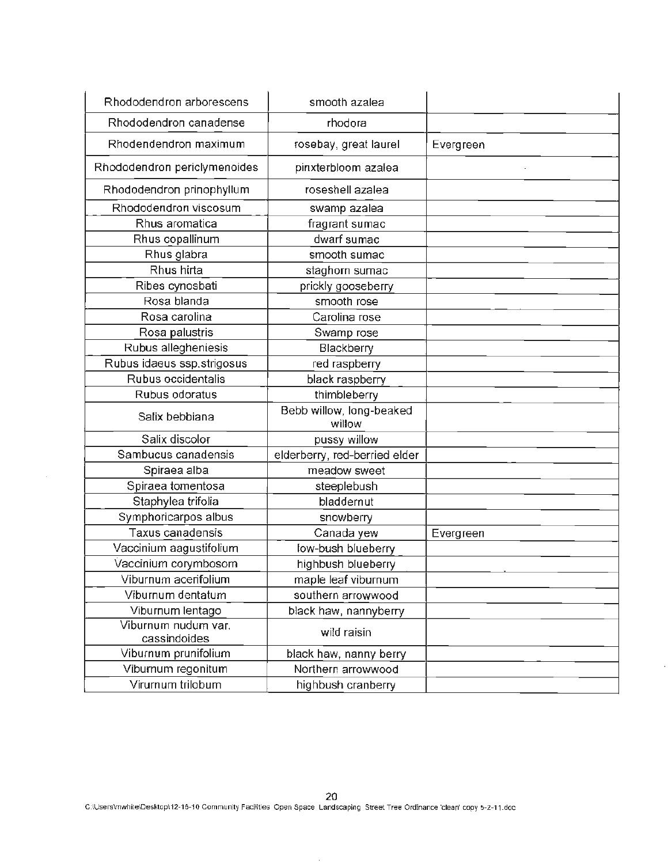| Rhododendron arborescens     | smooth azalea                      |           |
|------------------------------|------------------------------------|-----------|
| Rhododendron canadense       | rhodora                            |           |
| Rhodendendron maximum        | rosebay, great laurel              | Evergreen |
| Rhododendron periclymenoides | pinxterbloom azalea                |           |
| Rhododendron prinophyllum    | roseshell azalea                   |           |
| Rhododendron viscosum        | swamp azalea                       |           |
| Rhus aromatica               | fragrant sumac                     |           |
| Rhus copallinum              | dwarf sumac                        |           |
| Rhus glabra                  | smooth sumac                       |           |
| Rhus hirta                   | staghorn sumac                     |           |
| Ribes cynosbati              | prickly gooseberry                 |           |
| Rosa blanda                  | smooth rose                        |           |
| Rosa carolina                | Carolina rose                      |           |
| Rosa palustris               | Swamp rose                         |           |
| Rubus allegheniesis          | Blackberry                         |           |
| Rubus idaeus ssp.strigosus   | red raspberry                      |           |
| Rubus occidentalis           | black raspberry                    |           |
| Rubus odoratus               | thimbleberry                       |           |
| Salix bebbiana               | Bebb willow, long-beaked<br>willow |           |
| Salix discolor               | pussy willow                       |           |
| Sambucus canadensis          | elderberry, red-berried elder      |           |
| Spiraea alba                 | meadow sweet                       |           |
| Spiraea tomentosa            | steeplebush                        |           |
| Staphylea trifolia           | bladdernut                         |           |
| Symphoricarpos albus         | snowberry                          |           |
| Taxus canadensis             | Canada yew                         | Evergreen |
| Vaccinium aagustifolium      | low-bush blueberry                 |           |
| Vaccinium corymbosom         | highbush blueberry                 |           |
| Viburnum acerifolium         | maple leaf viburnum                |           |
| Viburnum dentatum            | southern arrowwood                 |           |
| Viburnum lentago             | black haw, nannyberry              |           |
| Viburnum nudum var.          | wild raisin                        |           |
| cassindoides                 |                                    |           |
| Viburnum prunifolium         | black haw, nanny berry             |           |
| Viburnum regonitum           | Northern arrowwood                 |           |
| Virurnum trilobum            | highbush cranberry                 |           |

 $\sim$ 

ł,